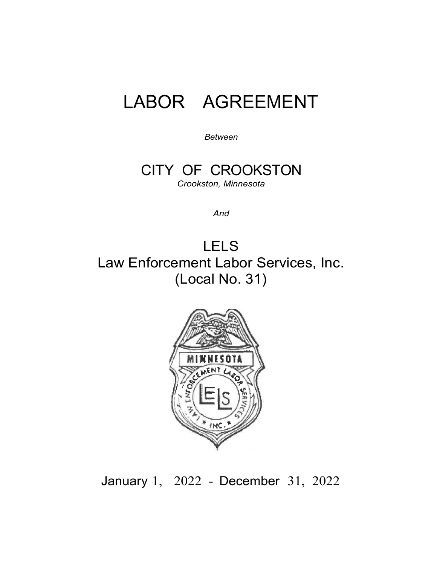# LABOR AGREEMENT

*Between*

CITY OF CROOKSTON *Crookston, Minnesota*

*And*

LELS Law Enforcement Labor Services, Inc. (Local No. 31)



January 1, 2022 - December 31, 2022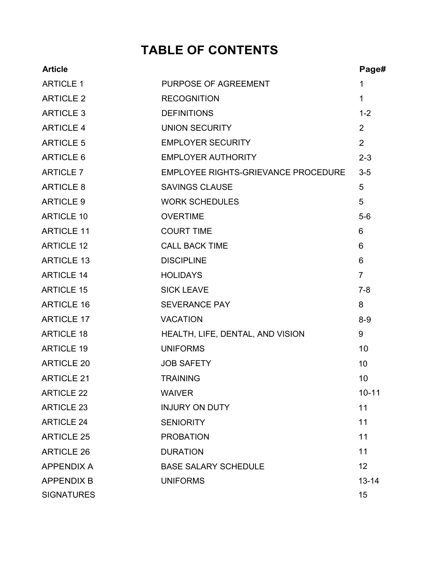# **TABLE OF CONTENTS**

| <b>Article</b>    |                                     | Page#          |
|-------------------|-------------------------------------|----------------|
| <b>ARTICLE 1</b>  | PURPOSE OF AGREEMENT                | $\mathbf{1}$   |
| <b>ARTICLE 2</b>  | <b>RECOGNITION</b>                  | $\mathbf{1}$   |
| <b>ARTICLE 3</b>  | <b>DEFINITIONS</b>                  | $1 - 2$        |
| <b>ARTICLE 4</b>  | <b>UNION SECURITY</b>               | 2              |
| <b>ARTICLE 5</b>  | <b>EMPLOYER SECURITY</b>            | 2              |
| <b>ARTICLE 6</b>  | <b>EMPLOYER AUTHORITY</b>           | $2 - 3$        |
| <b>ARTICLE 7</b>  | EMPLOYEE RIGHTS-GRIEVANCE PROCEDURE | $3-5$          |
| <b>ARTICLE 8</b>  | <b>SAVINGS CLAUSE</b>               | 5              |
| <b>ARTICLE 9</b>  | <b>WORK SCHEDULES</b>               | 5              |
| <b>ARTICLE 10</b> | <b>OVERTIME</b>                     | $5-6$          |
| <b>ARTICLE 11</b> | <b>COURT TIME</b>                   | 6              |
| <b>ARTICLE 12</b> | <b>CALL BACK TIME</b>               | 6              |
| <b>ARTICLE 13</b> | <b>DISCIPLINE</b>                   | 6              |
| <b>ARTICLE 14</b> | <b>HOLIDAYS</b>                     | $\overline{7}$ |
| <b>ARTICLE 15</b> | <b>SICK LEAVE</b>                   | $7 - 8$        |
| <b>ARTICLE 16</b> | <b>SEVERANCE PAY</b>                | 8              |
| <b>ARTICLE 17</b> | <b>VACATION</b>                     | $8-9$          |
| <b>ARTICLE 18</b> | HEALTH, LIFE, DENTAL, AND VISION    | 9              |
| <b>ARTICLE 19</b> | <b>UNIFORMS</b>                     | 10             |
| <b>ARTICLE 20</b> | <b>JOB SAFETY</b>                   | 10             |
| <b>ARTICLE 21</b> | <b>TRAINING</b>                     | 10             |
| <b>ARTICLE 22</b> | <b>WAIVER</b>                       | $10 - 11$      |
| <b>ARTICLE 23</b> | <b>INJURY ON DUTY</b>               | 11             |
| <b>ARTICLE 24</b> | <b>SENIORITY</b>                    | 11             |
| <b>ARTICLE 25</b> | <b>PROBATION</b>                    | 11             |
| <b>ARTICLE 26</b> | <b>DURATION</b>                     | 11             |
| <b>APPENDIX A</b> | <b>BASE SALARY SCHEDULE</b>         | 12             |
| <b>APPENDIX B</b> | <b>UNIFORMS</b>                     | $13 - 14$      |
| <b>SIGNATURES</b> |                                     | 15             |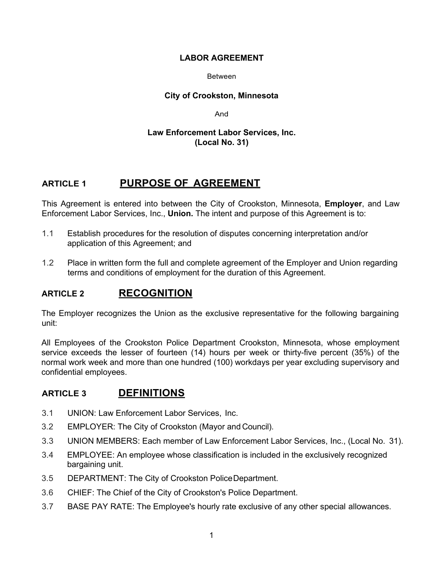#### **LABOR AGREEMENT**

#### Between

#### **City of Crookston, Minnesota**

And

#### **Law Enforcement Labor Services, Inc. (Local No. 31)**

## **ARTICLE 1 PURPOSE OF AGREEMENT**

This Agreement is entered into between the City of Crookston, Minnesota, **Employer**, and Law Enforcement Labor Services, Inc., **Union.** The intent and purpose of this Agreement is to:

- 1.1 Establish procedures for the resolution of disputes concerning interpretation and/or application of this Agreement; and
- 1.2 Place in written form the full and complete agreement of the Employer and Union regarding terms and conditions of employment for the duration of this Agreement.

## **ARTICLE 2 RECOGNITION**

The Employer recognizes the Union as the exclusive representative for the following bargaining unit:

All Employees of the Crookston Police Department Crookston, Minnesota, whose employment service exceeds the lesser of fourteen (14) hours per week or thirty-five percent (35%) of the normal work week and more than one hundred (100) workdays per year excluding supervisory and confidential employees.

## **ARTICLE 3 DEFINITIONS**

- 3.1 UNION: Law Enforcement Labor Services, Inc.
- 3.2 EMPLOYER: The City of Crookston (Mayor and Council).
- 3.3 UNION MEMBERS: Each member of Law Enforcement Labor Services, Inc., (Local No. 31).
- 3.4 EMPLOYEE: An employee whose classification is included in the exclusively recognized bargaining unit.
- 3.5 DEPARTMENT: The City of Crookston PoliceDepartment.
- 3.6 CHIEF: The Chief of the City of Crookston's Police Department.
- 3.7 BASE PAY RATE: The Employee's hourly rate exclusive of any other special allowances.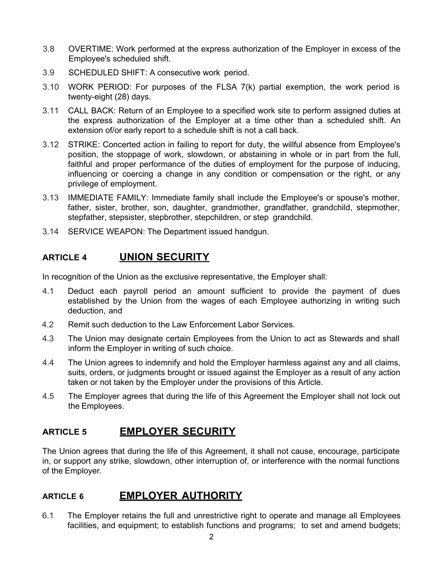- 3.8 OVERTIME: Work performed at the express authorization of the Employer in excess of the Employee's scheduled shift.
- 3.9 SCHEDULED SHIFT: A consecutive work period.
- 3.10 WORK PERIOD: For purposes of the FLSA 7(k) partial exemption, the work period is twenty-eight (28) days.
- 3.11 CALL BACK: Return of an Employee to a specified work site to perform assigned duties at the express authorization of the Employer at a time other than a scheduled shift. An extension of/or early report to a schedule shift is not a call back.
- 3.12 STRIKE: Concerted action in failing to report for duty, the willful absence from Employee's position, the stoppage of work, slowdown, or abstaining in whole or in part from the full, faithful and proper performance of the duties of employment for the purpose of inducing, influencing or coercing a change in any condition or compensation or the right, or any privilege of employment.
- 3.13 IMMEDIATE FAMILY: Immediate family shall include the Employee's or spouse's mother, father, sister, brother, son, daughter, grandmother, grandfather, grandchild, stepmother, stepfather, stepsister, stepbrother, stepchildren, or step grandchild.
- 3.14 SERVICE WEAPON: The Department issued handgun.

## **ARTICLE 4 UNION SECURITY**

In recognition of the Union as the exclusive representative, the Employer shall:

- 4.1 Deduct each payroll period an amount sufficient to provide the payment of dues established by the Union from the wages of each Employee authorizing in writing such deduction, and
- 4.2 Remit such deduction to the Law Enforcement Labor Services.
- 4.3 The Union may designate certain Employees from the Union to act as Stewards and shall inform the Employer in writing of such choice.
- 4.4 The Union agrees to indemnify and hold the Employer harmless against any and all claims, suits, orders, or judgments brought or issued against the Employer as a result of any action taken or not taken by the Employer under the provisions of this Article.
- 4.5 The Employer agrees that during the life of this Agreement the Employer shall not lock out the Employees.

## **ARTICLE 5 EMPLOYER SECURITY**

The Union agrees that during the life of this Agreement, it shall not cause, encourage, participate in, or support any strike, slowdown, other interruption of, or interference with the normal functions of the Employer.

## **ARTICLE 6 EMPLOYER AUTHORITY**

6.1 The Employer retains the full and unrestrictive right to operate and manage all Employees facilities, and equipment; to establish functions and programs; to set and amend budgets;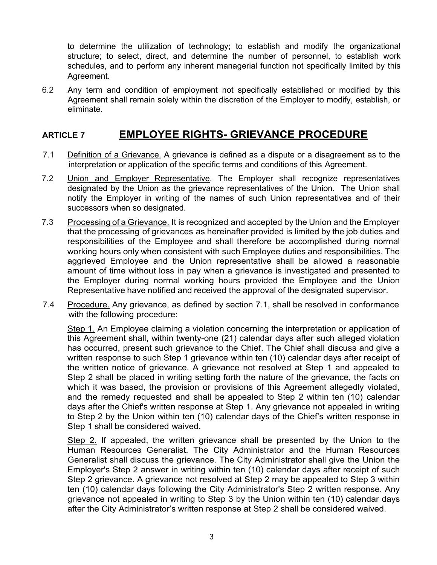to determine the utilization of technology; to establish and modify the organizational structure; to select, direct, and determine the number of personnel, to establish work schedules, and to perform any inherent managerial function not specifically limited by this Agreement.

6.2 Any term and condition of employment not specifically established or modified by this Agreement shall remain solely within the discretion of the Employer to modify, establish, or eliminate.

## **ARTICLE 7 EMPLOYEE RIGHTS- GRIEVANCE PROCEDURE**

- 7.1 Definition of a Grievance. A grievance is defined as a dispute or a disagreement as to the interpretation or application of the specific terms and conditions of this Agreement.
- 7.2 Union and Employer Representative. The Employer shall recognize representatives designated by the Union as the grievance representatives of the Union. The Union shall notify the Employer in writing of the names of such Union representatives and of their successors when so designated.
- 7.3 Processing of a Grievance. It is recognized and accepted by the Union and the Employer that the processing of grievances as hereinafter provided is limited by the job duties and responsibilities of the Employee and shall therefore be accomplished during normal working hours only when consistent with such Employee duties and responsibilities. The aggrieved Employee and the Union representative shall be allowed a reasonable amount of time without loss in pay when a grievance is investigated and presented to the Employer during normal working hours provided the Employee and the Union Representative have notified and received the approval of the designated supervisor.
- 7.4 Procedure. Any grievance, as defined by section 7.1, shall be resolved in conformance with the following procedure:

Step 1. An Employee claiming a violation concerning the interpretation or application of this Agreement shall, within twenty-one (21) calendar days after such alleged violation has occurred, present such grievance to the Chief. The Chief shall discuss and give a written response to such Step 1 grievance within ten (10) calendar days after receipt of the written notice of grievance. A grievance not resolved at Step 1 and appealed to Step 2 shall be placed in writing setting forth the nature of the grievance, the facts on which it was based, the provision or provisions of this Agreement allegedly violated, and the remedy requested and shall be appealed to Step 2 within ten (10) calendar days after the Chief's written response at Step 1. Any grievance not appealed in writing to Step 2 by the Union within ten (10) calendar days of the Chief's written response in Step 1 shall be considered waived.

Step 2. If appealed, the written grievance shall be presented by the Union to the Human Resources Generalist. The City Administrator and the Human Resources Generalist shall discuss the grievance. The City Administrator shall give the Union the Employer's Step 2 answer in writing within ten (10) calendar days after receipt of such Step 2 grievance. A grievance not resolved at Step 2 may be appealed to Step 3 within ten (10) calendar days following the City Administrator's Step 2 written response. Any grievance not appealed in writing to Step 3 by the Union within ten (10) calendar days after the City Administrator's written response at Step 2 shall be considered waived.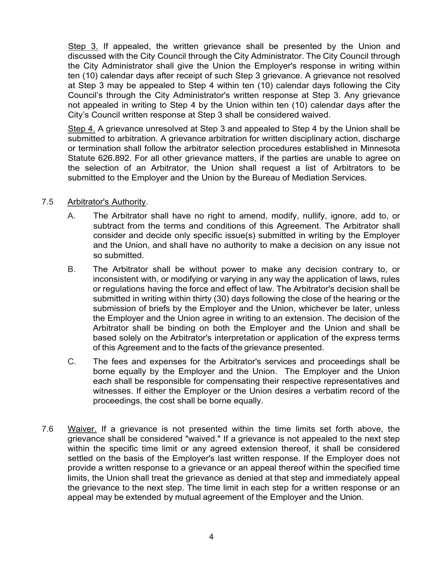Step 3. If appealed, the written grievance shall be presented by the Union and discussed with the City Council through the City Administrator. The City Council through the City Administrator shall give the Union the Employer's response in writing within ten (10) calendar days after receipt of such Step 3 grievance. A grievance not resolved at Step 3 may be appealed to Step 4 within ten (10) calendar days following the City Council's through the City Administrator's written response at Step 3. Any grievance not appealed in writing to Step 4 by the Union within ten (10) calendar days after the City's Council written response at Step 3 shall be considered waived.

Step 4. A grievance unresolved at Step 3 and appealed to Step 4 by the Union shall be submitted to arbitration. A grievance arbitration for written disciplinary action, discharge or termination shall follow the arbitrator selection procedures established in Minnesota Statute 626.892. For all other grievance matters, if the parties are unable to agree on the selection of an Arbitrator, the Union shall request a list of Arbitrators to be submitted to the Employer and the Union by the Bureau of Mediation Services.

#### 7.5 Arbitrator's Authority.

- A. The Arbitrator shall have no right to amend, modify, nullify, ignore, add to, or subtract from the terms and conditions of this Agreement. The Arbitrator shall consider and decide only specific issue(s) submitted in writing by the Employer and the Union, and shall have no authority to make a decision on any issue not so submitted.
- B. The Arbitrator shall be without power to make any decision contrary to, or inconsistent with, or modifying or varying in any way the application of laws, rules or regulations having the force and effect of law. The Arbitrator's decision shall be submitted in writing within thirty (30) days following the close of the hearing or the submission of briefs by the Employer and the Union, whichever be later, unless the Employer and the Union agree in writing to an extension. The decision of the Arbitrator shall be binding on both the Employer and the Union and shall be based solely on the Arbitrator's interpretation or application of the express terms of this Agreement and to the facts of the grievance presented.
- C. The fees and expenses for the Arbitrator's services and proceedings shall be borne equally by the Employer and the Union. The Employer and the Union each shall be responsible for compensating their respective representatives and witnesses. If either the Employer or the Union desires a verbatim record of the proceedings, the cost shall be borne equally.
- 7.6 Waiver. If a grievance is not presented within the time limits set forth above, the grievance shall be considered "waived." If a grievance is not appealed to the next step within the specific time limit or any agreed extension thereof, it shall be considered settled on the basis of the Employer's last written response. If the Employer does not provide a written response to a grievance or an appeal thereof within the specified time limits, the Union shall treat the grievance as denied at that step and immediately appeal the grievance to the next step. The time limit in each step for a written response or an appeal may be extended by mutual agreement of the Employer and the Union.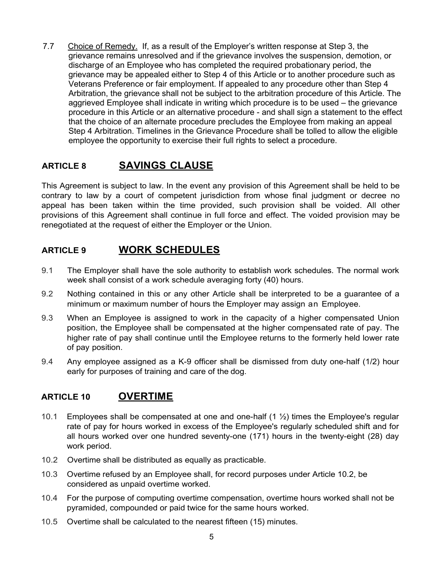7.7 Choice of Remedy. If, as a result of the Employer's written response at Step 3, the grievance remains unresolved and if the grievance involves the suspension, demotion, or discharge of an Employee who has completed the required probationary period, the grievance may be appealed either to Step 4 of this Article or to another procedure such as Veterans Preference or fair employment. If appealed to any procedure other than Step 4 Arbitration, the grievance shall not be subject to the arbitration procedure of this Article. The aggrieved Employee shall indicate in writing which procedure is to be used – the grievance procedure in this Article or an alternative procedure - and shall sign a statement to the effect that the choice of an alternate procedure precludes the Employee from making an appeal Step 4 Arbitration. Timelines in the Grievance Procedure shall be tolled to allow the eligible employee the opportunity to exercise their full rights to select a procedure.

## **ARTICLE 8 SAVINGS CLAUSE**

This Agreement is subject to law. In the event any provision of this Agreement shall be held to be contrary to law by a court of competent jurisdiction from whose final judgment or decree no appeal has been taken within the time provided, such provision shall be voided. All other provisions of this Agreement shall continue in full force and effect. The voided provision may be renegotiated at the request of either the Employer or the Union.

## **ARTICLE 9 WORK SCHEDULES**

- 9.1 The Employer shall have the sole authority to establish work schedules. The normal work week shall consist of a work schedule averaging forty (40) hours.
- 9.2 Nothing contained in this or any other Article shall be interpreted to be a guarantee of a minimum or maximum number of hours the Employer may assign an Employee.
- 9.3 When an Employee is assigned to work in the capacity of a higher compensated Union position, the Employee shall be compensated at the higher compensated rate of pay. The higher rate of pay shall continue until the Employee returns to the formerly held lower rate of pay position.
- 9.4 Any employee assigned as a K-9 officer shall be dismissed from duty one-half (1/2) hour early for purposes of training and care of the dog.

#### **ARTICLE 10 OVERTIME**

- 10.1 Employees shall be compensated at one and one-half  $(1 \frac{1}{2})$  times the Employee's regular rate of pay for hours worked in excess of the Employee's regularly scheduled shift and for all hours worked over one hundred seventy-one (171) hours in the twenty-eight (28) day work period.
- 10.2 Overtime shall be distributed as equally as practicable.
- 10.3 Overtime refused by an Employee shall, for record purposes under Article 10.2, be considered as unpaid overtime worked.
- 10.4 For the purpose of computing overtime compensation, overtime hours worked shall not be pyramided, compounded or paid twice for the same hours worked.
- 10.5 Overtime shall be calculated to the nearest fifteen (15) minutes.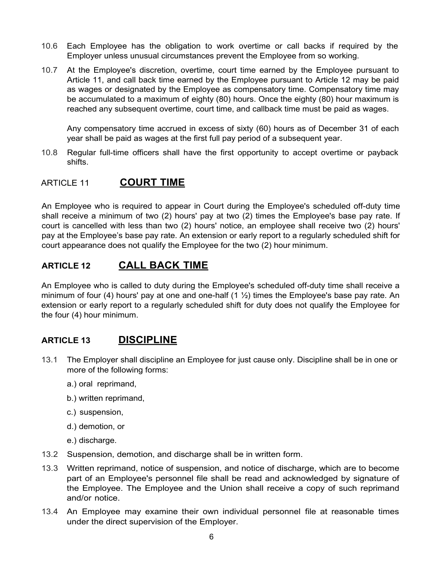- 10.6 Each Employee has the obligation to work overtime or call backs if required by the Employer unless unusual circumstances prevent the Employee from so working.
- 10.7 At the Employee's discretion, overtime, court time earned by the Employee pursuant to Article 11, and call back time earned by the Employee pursuant to Article 12 may be paid as wages or designated by the Employee as compensatory time. Compensatory time may be accumulated to a maximum of eighty (80) hours. Once the eighty (80) hour maximum is reached any subsequent overtime, court time, and callback time must be paid as wages.

Any compensatory time accrued in excess of sixty (60) hours as of December 31 of each year shall be paid as wages at the first full pay period of a subsequent year.

10.8 Regular full-time officers shall have the first opportunity to accept overtime or payback shifts.

#### ARTICLE 11 **COURT TIME**

An Employee who is required to appear in Court during the Employee's scheduled off-duty time shall receive a minimum of two (2) hours' pay at two (2) times the Employee's base pay rate. If court is cancelled with less than two (2) hours' notice, an employee shall receive two (2) hours' pay at the Employee's base pay rate. An extension or early report to a regularly scheduled shift for court appearance does not qualify the Employee for the two (2) hour minimum.

#### **ARTICLE 12 CALL BACK TIME**

An Employee who is called to duty during the Employee's scheduled off-duty time shall receive a minimum of four (4) hours' pay at one and one-half (1  $\frac{1}{2}$ ) times the Employee's base pay rate. An extension or early report to a regularly scheduled shift for duty does not qualify the Employee for the four (4) hour minimum.

#### **ARTICLE 13 DISCIPLINE**

- 13.1 The Employer shall discipline an Employee for just cause only. Discipline shall be in one or more of the following forms:
	- a.) oral reprimand,
	- b.) written reprimand,
	- c.) suspension,
	- d.) demotion, or
	- e.) discharge.
- 13.2 Suspension, demotion, and discharge shall be in written form.
- 13.3 Written reprimand, notice of suspension, and notice of discharge, which are to become part of an Employee's personnel file shall be read and acknowledged by signature of the Employee. The Employee and the Union shall receive a copy of such reprimand and/or notice.
- 13.4 An Employee may examine their own individual personnel file at reasonable times under the direct supervision of the Employer.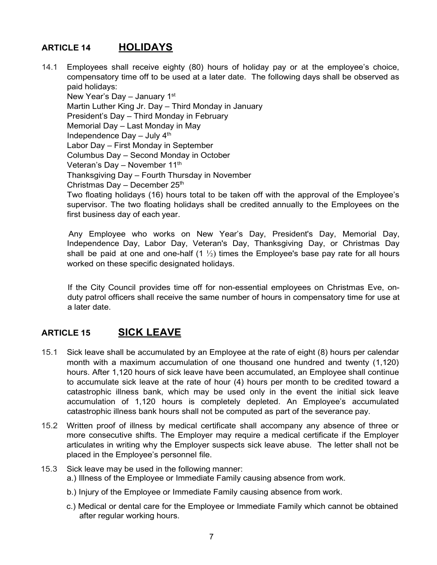## **ARTICLE 14 HOLIDAYS**

14.1 Employees shall receive eighty (80) hours of holiday pay or at the employee's choice, compensatory time off to be used at a later date. The following days shall be observed as paid holidays:

New Year's Day – January  $1<sup>st</sup>$ Martin Luther King Jr. Day – Third Monday in January President's Day – Third Monday in February Memorial Day – Last Monday in May Independence Day  $-$  July  $4<sup>th</sup>$ Labor Day – First Monday in September Columbus Day – Second Monday in October Veteran's Day - November 11<sup>th</sup> Thanksgiving Day – Fourth Thursday in November Christmas Day – December  $25<sup>th</sup>$ Two floating holidays (16) hours total to be taken off with the approval of the Employee's supervisor. The two floating holidays shall be credited annually to the Employees on the first business day of each year.

Any Employee who works on New Year's Day, President's Day, Memorial Day, Independence Day, Labor Day, Veteran's Day, Thanksgiving Day, or Christmas Day shall be paid at one and one-half  $(1 \frac{1}{2})$  times the Employee's base pay rate for all hours worked on these specific designated holidays.

If the City Council provides time off for non-essential employees on Christmas Eve, onduty patrol officers shall receive the same number of hours in compensatory time for use at a later date.

## **ARTICLE 15 SICK LEAVE**

- 15.1 Sick leave shall be accumulated by an Employee at the rate of eight (8) hours per calendar month with a maximum accumulation of one thousand one hundred and twenty (1,120) hours. After 1,120 hours of sick leave have been accumulated, an Employee shall continue to accumulate sick leave at the rate of hour (4) hours per month to be credited toward a catastrophic illness bank, which may be used only in the event the initial sick leave accumulation of 1,120 hours is completely depleted. An Employee's accumulated catastrophic illness bank hours shall not be computed as part of the severance pay.
- 15.2 Written proof of illness by medical certificate shall accompany any absence of three or more consecutive shifts. The Employer may require a medical certificate if the Employer articulates in writing why the Employer suspects sick leave abuse. The letter shall not be placed in the Employee's personnel file.

#### 15.3 Sick leave may be used in the following manner: a.) Illness of the Employee or Immediate Family causing absence from work.

- b.) Injury of the Employee or Immediate Family causing absence from work.
- c.) Medical or dental care for the Employee or Immediate Family which cannot be obtained after regular working hours.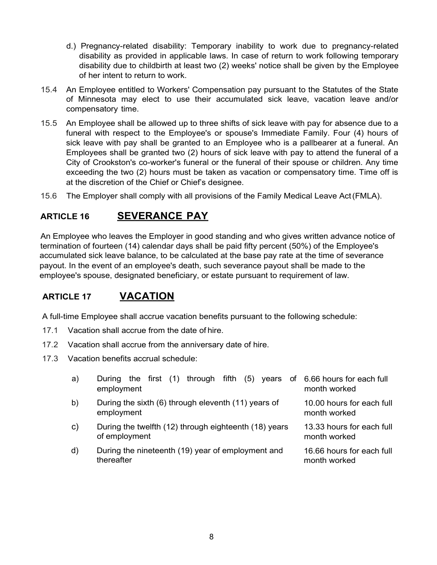- d.) Pregnancy-related disability: Temporary inability to work due to pregnancy-related disability as provided in applicable laws. In case of return to work following temporary disability due to childbirth at least two (2) weeks' notice shall be given by the Employee of her intent to return to work.
- 15.4 An Employee entitled to Workers' Compensation pay pursuant to the Statutes of the State of Minnesota may elect to use their accumulated sick leave, vacation leave and/or compensatory time.
- 15.5 An Employee shall be allowed up to three shifts of sick leave with pay for absence due to a funeral with respect to the Employee's or spouse's Immediate Family. Four (4) hours of sick leave with pay shall be granted to an Employee who is a pallbearer at a funeral. An Employees shall be granted two (2) hours of sick leave with pay to attend the funeral of a City of Crookston's co-worker's funeral or the funeral of their spouse or children. Any time exceeding the two (2) hours must be taken as vacation or compensatory time. Time off is at the discretion of the Chief or Chief's designee.
- 15.6 The Employer shall comply with all provisions of the Family Medical Leave Act(FMLA).

## **ARTICLE 16 SEVERANCE PAY**

An Employee who leaves the Employer in good standing and who gives written advance notice of termination of fourteen (14) calendar days shall be paid fifty percent (50%) of the Employee's accumulated sick leave balance, to be calculated at the base pay rate at the time of severance payout. In the event of an employee's death, such severance payout shall be made to the employee's spouse, designated beneficiary, or estate pursuant to requirement of law.

## **ARTICLE 17 VACATION**

A full-time Employee shall accrue vacation benefits pursuant to the following schedule:

- 17.1 Vacation shall accrue from the date of hire.
- 17.2 Vacation shall accrue from the anniversary date of hire.
- 17.3 Vacation benefits accrual schedule:

| a) | During the first (1) through fifth (5) years of 6.66 hours for each full<br>employment | month worked                              |
|----|----------------------------------------------------------------------------------------|-------------------------------------------|
| b) | During the sixth (6) through eleventh (11) years of<br>employment                      | 10.00 hours for each full<br>month worked |
| C) | During the twelfth (12) through eighteenth (18) years<br>of employment                 | 13.33 hours for each full<br>month worked |
| d) | During the nineteenth (19) year of employment and<br>thereafter                        | 16.66 hours for each full<br>month worked |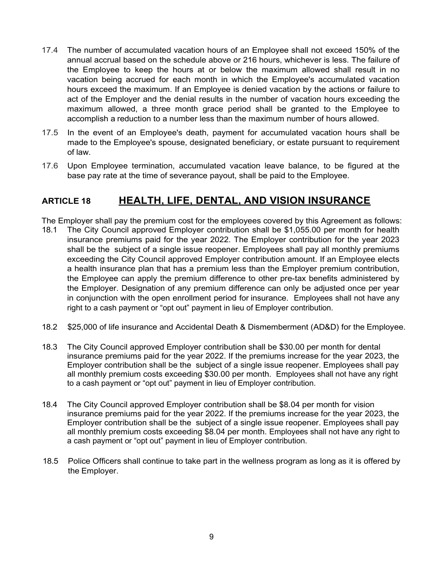- 17.4 The number of accumulated vacation hours of an Employee shall not exceed 150% of the annual accrual based on the schedule above or 216 hours, whichever is less. The failure of the Employee to keep the hours at or below the maximum allowed shall result in no vacation being accrued for each month in which the Employee's accumulated vacation hours exceed the maximum. If an Employee is denied vacation by the actions or failure to act of the Employer and the denial results in the number of vacation hours exceeding the maximum allowed, a three month grace period shall be granted to the Employee to accomplish a reduction to a number less than the maximum number of hours allowed.
- 17.5 In the event of an Employee's death, payment for accumulated vacation hours shall be made to the Employee's spouse, designated beneficiary, or estate pursuant to requirement of law.
- 17.6 Upon Employee termination, accumulated vacation leave balance, to be figured at the base pay rate at the time of severance payout, shall be paid to the Employee.

## **ARTICLE 18 HEALTH, LIFE, DENTAL, AND VISION INSURANCE**

The Employer shall pay the premium cost for the employees covered by this Agreement as follows:

- 18.1 The City Council approved Employer contribution shall be \$1,055.00 per month for health insurance premiums paid for the year 2022. The Employer contribution for the year 2023 shall be the subject of a single issue reopener. Employees shall pay all monthly premiums exceeding the City Council approved Employer contribution amount. If an Employee elects a health insurance plan that has a premium less than the Employer premium contribution, the Employee can apply the premium difference to other pre-tax benefits administered by the Employer. Designation of any premium difference can only be adjusted once per year in conjunction with the open enrollment period for insurance. Employees shall not have any right to a cash payment or "opt out" payment in lieu of Employer contribution.
- 18.2 \$25,000 of life insurance and Accidental Death & Dismemberment (AD&D) for the Employee.
- 18.3 The City Council approved Employer contribution shall be \$30.00 per month for dental insurance premiums paid for the year 2022. If the premiums increase for the year 2023, the Employer contribution shall be the subject of a single issue reopener. Employees shall pay all monthly premium costs exceeding \$30.00 per month. Employees shall not have any right to a cash payment or "opt out" payment in lieu of Employer contribution.
- 18.4 The City Council approved Employer contribution shall be \$8.04 per month for vision insurance premiums paid for the year 2022. If the premiums increase for the year 2023, the Employer contribution shall be the subject of a single issue reopener. Employees shall pay all monthly premium costs exceeding \$8.04 per month. Employees shall not have any right to a cash payment or "opt out" payment in lieu of Employer contribution.
- 18.5 Police Officers shall continue to take part in the wellness program as long as it is offered by the Employer.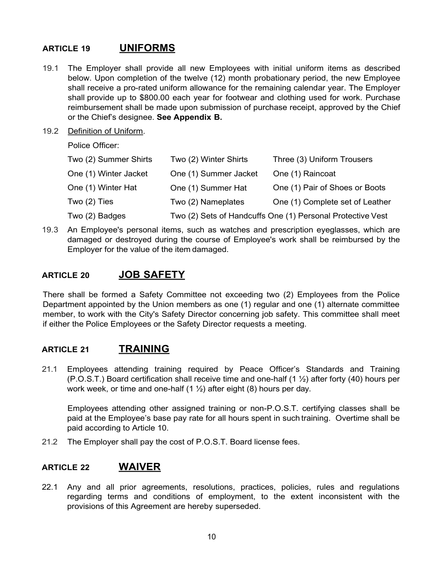## **ARTICLE 19 UNIFORMS**

- 19.1 The Employer shall provide all new Employees with initial uniform items as described below. Upon completion of the twelve (12) month probationary period, the new Employee shall receive a pro-rated uniform allowance for the remaining calendar year. The Employer shall provide up to \$800.00 each year for footwear and clothing used for work. Purchase reimbursement shall be made upon submission of purchase receipt, approved by the Chief or the Chief's designee. **See Appendix B.**
- 19.2 Definition of Uniform.

Police Officer:

| Two (2) Summer Shirts | Two (2) Winter Shirts | Three (3) Uniform Trousers                                 |
|-----------------------|-----------------------|------------------------------------------------------------|
| One (1) Winter Jacket | One (1) Summer Jacket | One (1) Raincoat                                           |
| One (1) Winter Hat    | One (1) Summer Hat    | One (1) Pair of Shoes or Boots                             |
| Two (2) Ties          | Two (2) Nameplates    | One (1) Complete set of Leather                            |
| Two (2) Badges        |                       | Two (2) Sets of Handcuffs One (1) Personal Protective Vest |

19.3 An Employee's personal items, such as watches and prescription eyeglasses, which are damaged or destroyed during the course of Employee's work shall be reimbursed by the Employer for the value of the item damaged.

#### **ARTICLE 20 JOB SAFETY**

There shall be formed a Safety Committee not exceeding two (2) Employees from the Police Department appointed by the Union members as one (1) regular and one (1) alternate committee member, to work with the City's Safety Director concerning job safety. This committee shall meet if either the Police Employees or the Safety Director requests a meeting.

#### **ARTICLE 21 TRAINING**

21.1 Employees attending training required by Peace Officer's Standards and Training (P.O.S.T.) Board certification shall receive time and one-half (1 ½) after forty (40) hours per work week, or time and one-half  $(1 \frac{1}{2})$  after eight  $(8)$  hours per day.

Employees attending other assigned training or non-P.O.S.T. certifying classes shall be paid at the Employee's base pay rate for all hours spent in such training. Overtime shall be paid according to Article 10.

21.2 The Employer shall pay the cost of P.O.S.T. Board license fees.

#### **ARTICLE 22 WAIVER**

22.1 Any and all prior agreements, resolutions, practices, policies, rules and regulations regarding terms and conditions of employment, to the extent inconsistent with the provisions of this Agreement are hereby superseded.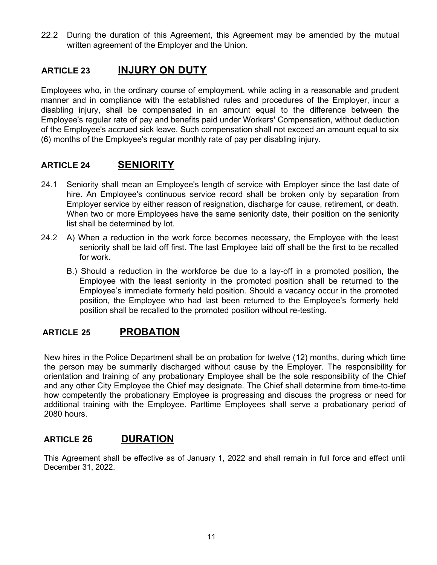22.2 During the duration of this Agreement, this Agreement may be amended by the mutual written agreement of the Employer and the Union.

#### **ARTICLE 23 INJURY ON DUTY**

Employees who, in the ordinary course of employment, while acting in a reasonable and prudent manner and in compliance with the established rules and procedures of the Employer, incur a disabling injury, shall be compensated in an amount equal to the difference between the Employee's regular rate of pay and benefits paid under Workers' Compensation, without deduction of the Employee's accrued sick leave. Such compensation shall not exceed an amount equal to six (6) months of the Employee's regular monthly rate of pay per disabling injury.

## **ARTICLE 24 SENIORITY**

- 24.1 Seniority shall mean an Employee's length of service with Employer since the last date of hire. An Employee's continuous service record shall be broken only by separation from Employer service by either reason of resignation, discharge for cause, retirement, or death. When two or more Employees have the same seniority date, their position on the seniority list shall be determined by lot.
- 24.2 A) When a reduction in the work force becomes necessary, the Employee with the least seniority shall be laid off first. The last Employee laid off shall be the first to be recalled for work.
	- B.) Should a reduction in the workforce be due to a lay-off in a promoted position, the Employee with the least seniority in the promoted position shall be returned to the Employee's immediate formerly held position. Should a vacancy occur in the promoted position, the Employee who had last been returned to the Employee's formerly held position shall be recalled to the promoted position without re-testing.

## **ARTICLE 25 PROBATION**

New hires in the Police Department shall be on probation for twelve (12) months, during which time the person may be summarily discharged without cause by the Employer. The responsibility for orientation and training of any probationary Employee shall be the sole responsibility of the Chief and any other City Employee the Chief may designate. The Chief shall determine from time-to-time how competently the probationary Employee is progressing and discuss the progress or need for additional training with the Employee. Parttime Employees shall serve a probationary period of 2080 hours.

## **ARTICLE 26 DURATION**

This Agreement shall be effective as of January 1, 2022 and shall remain in full force and effect until December 31, 2022.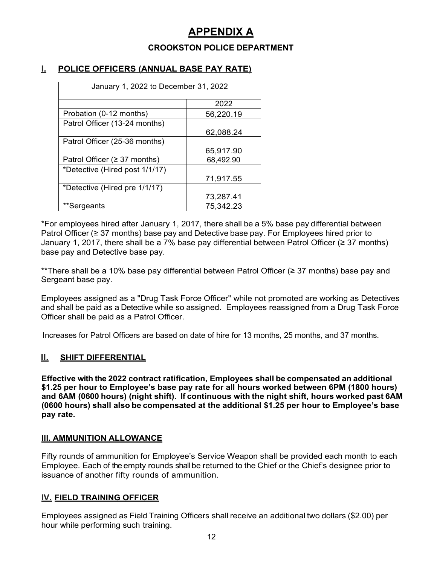# **APPENDIX A**

#### **CROOKSTON POLICE DEPARTMENT**

#### **I. POLICE OFFICERS (ANNUAL BASE PAY RATE)**

| January 1, 2022 to December 31, 2022 |           |  |  |
|--------------------------------------|-----------|--|--|
|                                      | 2022      |  |  |
| Probation (0-12 months)              | 56,220.19 |  |  |
| Patrol Officer (13-24 months)        |           |  |  |
|                                      | 62,088.24 |  |  |
| Patrol Officer (25-36 months)        |           |  |  |
|                                      | 65,917.90 |  |  |
| Patrol Officer (≥ 37 months)         | 68,492.90 |  |  |
| *Detective (Hired post 1/1/17)       |           |  |  |
|                                      | 71,917.55 |  |  |
| *Detective (Hired pre 1/1/17)        |           |  |  |
|                                      | 73,287.41 |  |  |
| **Sergeants                          | 75,342.23 |  |  |

\*For employees hired after January 1, 2017, there shall be a 5% base pay differential between Patrol Officer (≥ 37 months) base pay and Detective base pay. For Employees hired prior to January 1, 2017, there shall be a 7% base pay differential between Patrol Officer (≥ 37 months) base pay and Detective base pay.

\*\*There shall be a 10% base pay differential between Patrol Officer (≥ 37 months) base pay and Sergeant base pay.

Employees assigned as a "Drug Task Force Officer" while not promoted are working as Detectives and shall be paid as a Detective while so assigned. Employees reassigned from a Drug Task Force Officer shall be paid as a Patrol Officer.

Increases for Patrol Officers are based on date of hire for 13 months, 25 months, and 37 months.

#### **II. SHIFT DIFFERENTIAL**

**Effective with the 2022 contract ratification, Employees shall be compensated an additional \$1.25 per hour to Employee's base pay rate for all hours worked between 6PM (1800 hours) and 6AM (0600 hours) (night shift). If continuous with the night shift, hours worked past 6AM (0600 hours) shall also be compensated at the additional \$1.25 per hour to Employee's base pay rate.**

#### **Ill. AMMUNITION ALLOWANCE**

Fifty rounds of ammunition for Employee's Service Weapon shall be provided each month to each Employee. Each of the empty rounds shall be returned to the Chief or the Chief's designee prior to issuance of another fifty rounds of ammunition.

#### **IV. FIELD TRAINING OFFICER**

Employees assigned as Field Training Officers shall receive an additional two dollars (\$2.00) per hour while performing such training.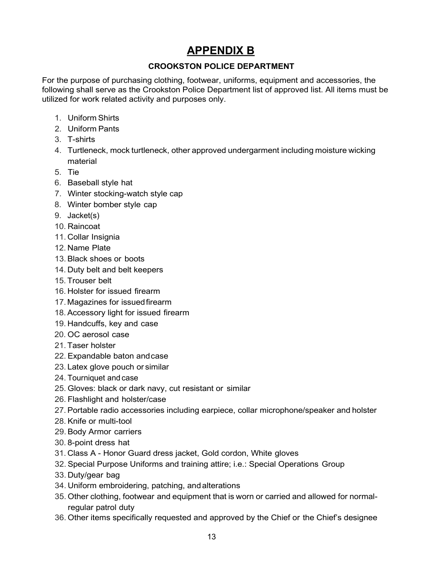# **APPENDIX B**

#### **CROOKSTON POLICE DEPARTMENT**

For the purpose of purchasing clothing, footwear, uniforms, equipment and accessories, the following shall serve as the Crookston Police Department list of approved list. All items must be utilized for work related activity and purposes only.

- 1. Uniform Shirts
- 2. Uniform Pants
- 3. T-shirts
- 4. Turtleneck, mock turtleneck, other approved undergarment including moisture wicking material
- 5. Tie
- 6. Baseball style hat
- 7. Winter stocking-watch style cap
- 8. Winter bomber style cap
- 9. Jacket(s)
- 10. Raincoat
- 11. Collar Insignia
- 12. Name Plate
- 13. Black shoes or boots
- 14. Duty belt and belt keepers
- 15. Trouser belt
- 16. Holster for issued firearm
- 17. Magazines for issuedfirearm
- 18. Accessory light for issued firearm
- 19. Handcuffs, key and case
- 20. OC aerosol case
- 21. Taser holster
- 22. Expandable baton andcase
- 23. Latex glove pouch or similar
- 24. Tourniquet and case
- 25. Gloves: black or dark navy, cut resistant or similar
- 26. Flashlight and holster/case
- 27. Portable radio accessories including earpiece, collar microphone/speaker and holster
- 28. Knife or multi-tool
- 29. Body Armor carriers
- 30. 8-point dress hat
- 31. Class A Honor Guard dress jacket, Gold cordon, White gloves
- 32. Special Purpose Uniforms and training attire; i.e.: Special Operations Group
- 33. Duty/gear bag
- 34. Uniform embroidering, patching, andalterations
- 35. Other clothing, footwear and equipment that is worn or carried and allowed for normalregular patrol duty
- 36. Other items specifically requested and approved by the Chief or the Chief's designee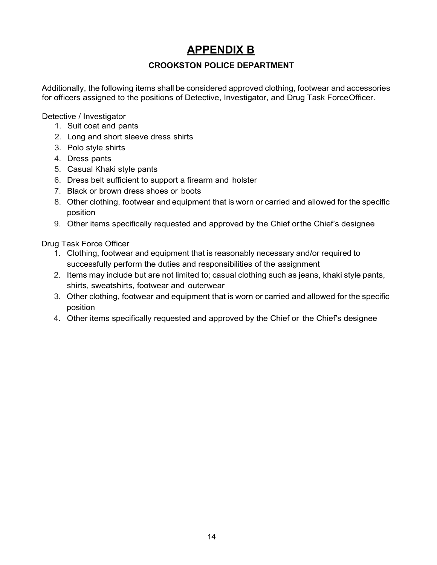# **APPENDIX B**

#### **CROOKSTON POLICE DEPARTMENT**

Additionally, the following items shall be considered approved clothing, footwear and accessories for officers assigned to the positions of Detective, Investigator, and Drug Task ForceOfficer.

Detective / Investigator

- 1. Suit coat and pants
- 2. Long and short sleeve dress shirts
- 3. Polo style shirts
- 4. Dress pants
- 5. Casual Khaki style pants
- 6. Dress belt sufficient to support a firearm and holster
- 7. Black or brown dress shoes or boots
- 8. Other clothing, footwear and equipment that is worn or carried and allowed for the specific position
- 9. Other items specifically requested and approved by the Chief orthe Chief's designee

Drug Task Force Officer

- 1. Clothing, footwear and equipment that is reasonably necessary and/or required to successfully perform the duties and responsibilities of the assignment
- 2. Items may include but are not limited to; casual clothing such as jeans, khaki style pants, shirts, sweatshirts, footwear and outerwear
- 3. Other clothing, footwear and equipment that is worn or carried and allowed for the specific position
- 4. Other items specifically requested and approved by the Chief or the Chief's designee